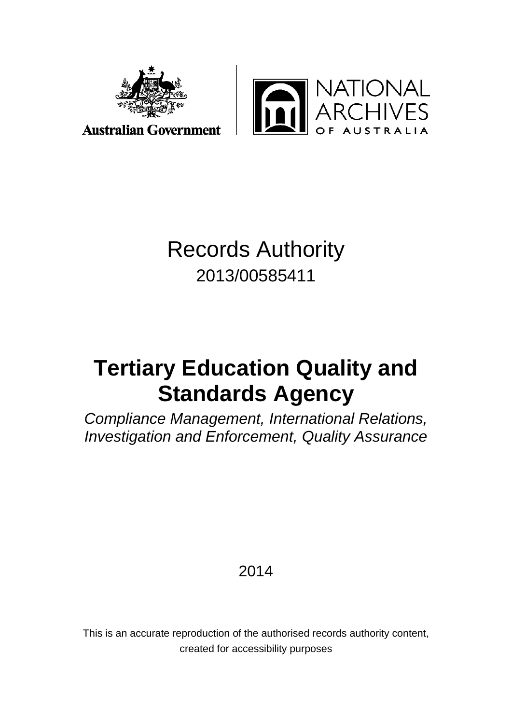



**Australian Government** 

# Records Authority 2013/00585411

# **Tertiary Education Quality and Standards Agency**

*Compliance Management, International Relations, Investigation and Enforcement, Quality Assurance*

2014

This is an accurate reproduction of the authorised records authority content, created for accessibility purposes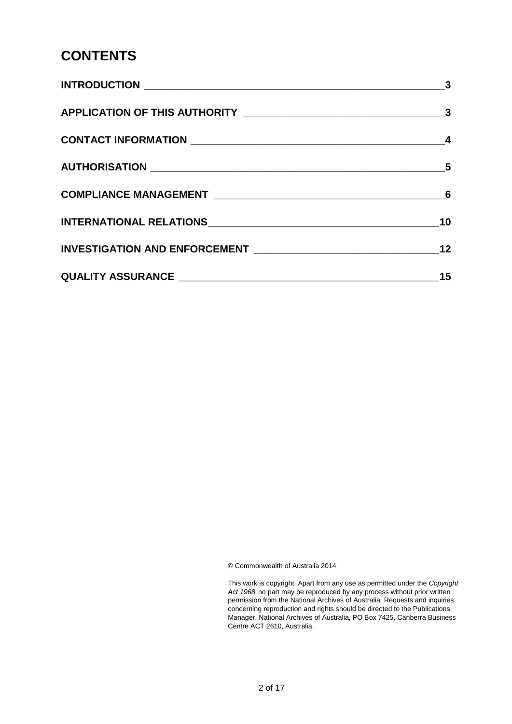## **CONTENTS**

| $\mathbf{3}$               |
|----------------------------|
| $\overline{\mathbf{3}}$    |
|                            |
| $\overline{\phantom{0}}$ 5 |
|                            |
| 10                         |
| 12                         |
| 15                         |

© Commonwealth of Australia 2014

This work is copyright. Apart from any use as permitted under the *Copyright Act 1968,* no part may be reproduced by any process without prior written permission from the National Archives of Australia. Requests and inquiries concerning reproduction and rights should be directed to the Publications Manager, National Archives of Australia, PO Box 7425, Canberra Business Centre ACT 2610, Australia.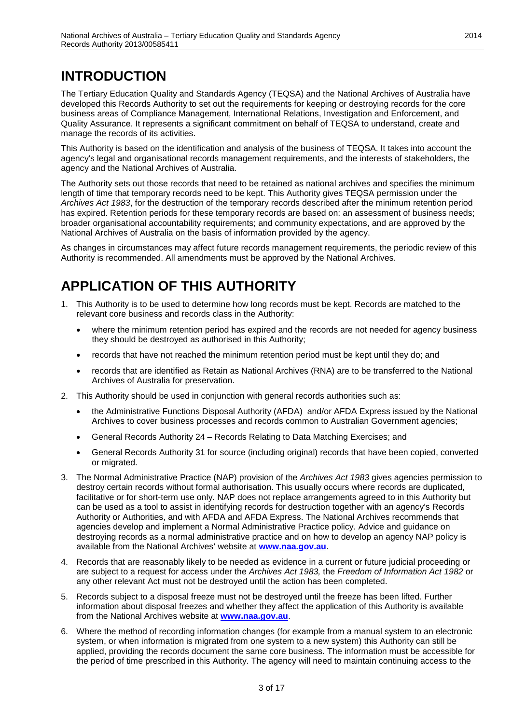# <span id="page-2-0"></span>**INTRODUCTION**

The Tertiary Education Quality and Standards Agency (TEQSA) and the National Archives of Australia have developed this Records Authority to set out the requirements for keeping or destroying records for the core business areas of Compliance Management, International Relations, Investigation and Enforcement, and Quality Assurance. It represents a significant commitment on behalf of TEQSA to understand, create and manage the records of its activities.

This Authority is based on the identification and analysis of the business of TEQSA. It takes into account the agency's legal and organisational records management requirements, and the interests of stakeholders, the agency and the National Archives of Australia.

The Authority sets out those records that need to be retained as national archives and specifies the minimum length of time that temporary records need to be kept. This Authority gives TEQSA permission under the *Archives Act 1983*, for the destruction of the temporary records described after the minimum retention period has expired. Retention periods for these temporary records are based on: an assessment of business needs; broader organisational accountability requirements; and community expectations, and are approved by the National Archives of Australia on the basis of information provided by the agency.

As changes in circumstances may affect future records management requirements, the periodic review of this Authority is recommended. All amendments must be approved by the National Archives.

# <span id="page-2-1"></span>**APPLICATION OF THIS AUTHORITY**

- 1. This Authority is to be used to determine how long records must be kept. Records are matched to the relevant core business and records class in the Authority:
	- where the minimum retention period has expired and the records are not needed for agency business they should be destroyed as authorised in this Authority;
	- records that have not reached the minimum retention period must be kept until they do: and
	- records that are identified as Retain as National Archives (RNA) are to be transferred to the National Archives of Australia for preservation.
- 2. This Authority should be used in conjunction with general records authorities such as:
	- the Administrative Functions Disposal Authority (AFDA) and/or AFDA Express issued by the National Archives to cover business processes and records common to Australian Government agencies;
	- General Records Authority 24 Records Relating to Data Matching Exercises; and
	- General Records Authority 31 for source (including original) records that have been copied, converted or migrated.
- 3. The Normal Administrative Practice (NAP) provision of the *Archives Act 1983* gives agencies permission to destroy certain records without formal authorisation. This usually occurs where records are duplicated, facilitative or for short-term use only. NAP does not replace arrangements agreed to in this Authority but can be used as a tool to assist in identifying records for destruction together with an agency's Records Authority or Authorities, and with AFDA and AFDA Express. The National Archives recommends that agencies develop and implement a Normal Administrative Practice policy. Advice and guidance on destroying records as a normal administrative practice and on how to develop an agency NAP policy is available from the National Archives' website at **[www.naa.gov.au](http://www.naa.gov.au/)**.
- 4. Records that are reasonably likely to be needed as evidence in a current or future judicial proceeding or are subject to a request for access under the *Archives Act 1983,* the *Freedom of Information Act 1982* or any other relevant Act must not be destroyed until the action has been completed.
- 5. Records subject to a disposal freeze must not be destroyed until the freeze has been lifted. Further information about disposal freezes and whether they affect the application of this Authority is available from the National Archives website at **[www.naa.gov.au](http://www.naa.gov.au/)**.
- 6. Where the method of recording information changes (for example from a manual system to an electronic system, or when information is migrated from one system to a new system) this Authority can still be applied, providing the records document the same core business. The information must be accessible for the period of time prescribed in this Authority. The agency will need to maintain continuing access to the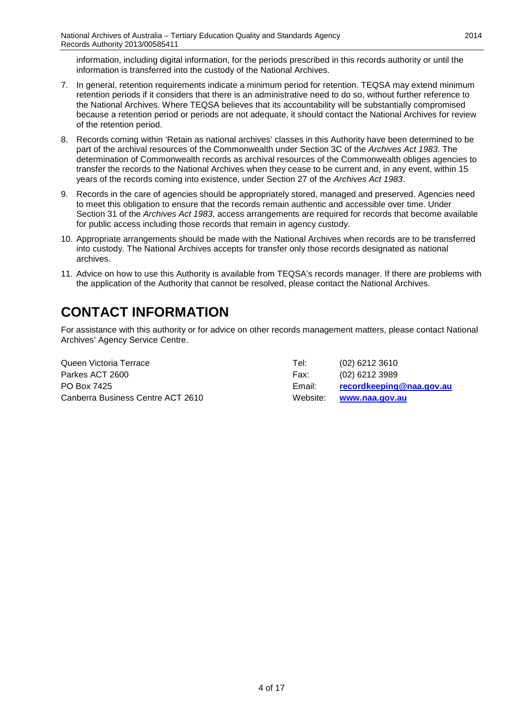information, including digital information, for the periods prescribed in this records authority or until the information is transferred into the custody of the National Archives.

- 7. In general, retention requirements indicate a minimum period for retention. TEQSA may extend minimum retention periods if it considers that there is an administrative need to do so, without further reference to the National Archives. Where TEQSA believes that its accountability will be substantially compromised because a retention period or periods are not adequate, it should contact the National Archives for review of the retention period.
- 8. Records coming within 'Retain as national archives' classes in this Authority have been determined to be part of the archival resources of the Commonwealth under Section 3C of the *Archives Act 1983*. The determination of Commonwealth records as archival resources of the Commonwealth obliges agencies to transfer the records to the National Archives when they cease to be current and, in any event, within 15 years of the records coming into existence, under Section 27 of the *Archives Act 1983*.
- 9. Records in the care of agencies should be appropriately stored, managed and preserved. Agencies need to meet this obligation to ensure that the records remain authentic and accessible over time. Under Section 31 of the *Archives Act 1983*, access arrangements are required for records that become available for public access including those records that remain in agency custody.
- 10. Appropriate arrangements should be made with the National Archives when records are to be transferred into custody. The National Archives accepts for transfer only those records designated as national archives.
- 11. Advice on how to use this Authority is available from TEQSA's records manager. If there are problems with the application of the Authority that cannot be resolved, please contact the National Archives.

# <span id="page-3-0"></span>**CONTACT INFORMATION**

For assistance with this authority or for advice on other records management matters, please contact National Archives' Agency Service Centre.

| Queen Victoria Terrace            | Tel:     | $(02)$ 6212 3610         |
|-----------------------------------|----------|--------------------------|
| Parkes ACT 2600                   | Fax:     | (02) 6212 3989           |
| PO Box 7425                       | Email:   | recordkeeping@naa.gov.au |
| Canberra Business Centre ACT 2610 | Website: | www.naa.gov.au           |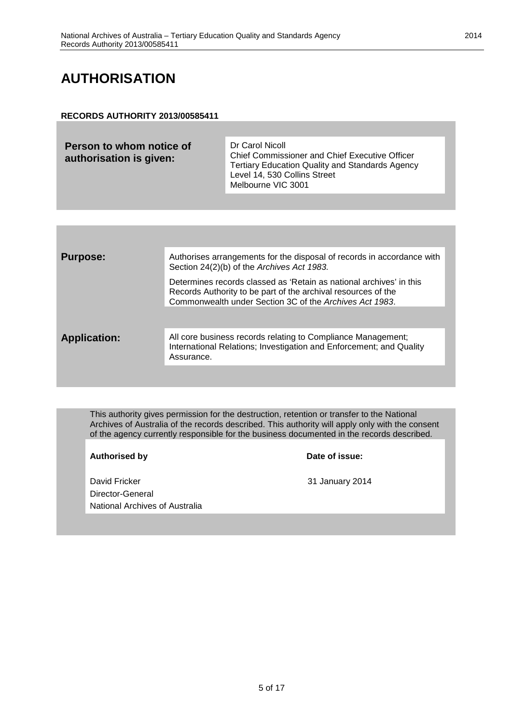### <span id="page-4-0"></span>**AUTHORISATION**

#### **RECORDS AUTHORITY 2013/00585411**

| Person to whom notice of<br>authorisation is given: | Dr Carol Nicoll<br>Chief Commissioner and Chief Executive Officer<br><b>Tertiary Education Quality and Standards Agency</b><br>Level 14, 530 Collins Street |
|-----------------------------------------------------|-------------------------------------------------------------------------------------------------------------------------------------------------------------|
|                                                     | Melbourne VIC 3001                                                                                                                                          |

| <b>Purpose:</b>     | Authorises arrangements for the disposal of records in accordance with<br>Section 24(2)(b) of the Archives Act 1983.                                                                            |
|---------------------|-------------------------------------------------------------------------------------------------------------------------------------------------------------------------------------------------|
|                     | Determines records classed as 'Retain as national archives' in this<br>Records Authority to be part of the archival resources of the<br>Commonwealth under Section 3C of the Archives Act 1983. |
|                     |                                                                                                                                                                                                 |
| <b>Application:</b> | All core business records relating to Compliance Management;<br>International Relations; Investigation and Enforcement; and Quality<br>Assurance.                                               |
|                     |                                                                                                                                                                                                 |

This authority gives permission for the destruction, retention or transfer to the National Archives of Australia of the records described. This authority will apply only with the consent of the agency currently responsible for the business documented in the records described.

**Authorised by Date of issue:**

David Fricker 2014 Director-General National Archives of Australia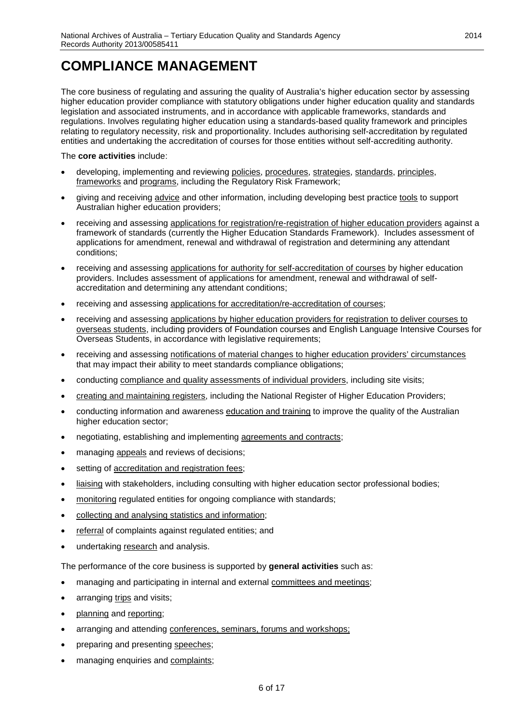### <span id="page-5-0"></span>**COMPLIANCE MANAGEMENT**

The core business of regulating and assuring the quality of Australia's higher education sector by assessing higher education provider compliance with statutory obligations under higher education quality and standards legislation and associated instruments, and in accordance with applicable frameworks, standards and regulations. Involves regulating higher education using a standards-based quality framework and principles relating to regulatory necessity, risk and proportionality. Includes authorising self-accreditation by regulated entities and undertaking the accreditation of courses for those entities without self-accrediting authority.

#### The **core activities** include:

- developing, implementing and reviewing policies, procedures, strategies, standards, principles, frameworks and programs, including the Regulatory Risk Framework;
- giving and receiving advice and other information, including developing best practice tools to support Australian higher education providers;
- receiving and assessing applications for registration/re-registration of higher education providers against a framework of standards (currently the Higher Education Standards Framework). Includes assessment of applications for amendment, renewal and withdrawal of registration and determining any attendant conditions;
- receiving and assessing applications for authority for self-accreditation of courses by higher education providers. Includes assessment of applications for amendment, renewal and withdrawal of selfaccreditation and determining any attendant conditions;
- receiving and assessing applications for accreditation/re-accreditation of courses;
- receiving and assessing applications by higher education providers for registration to deliver courses to overseas students, including providers of Foundation courses and English Language Intensive Courses for Overseas Students, in accordance with legislative requirements;
- receiving and assessing notifications of material changes to higher education providers' circumstances that may impact their ability to meet standards compliance obligations;
- conducting compliance and quality assessments of individual providers, including site visits;
- creating and maintaining registers, including the National Register of Higher Education Providers;
- conducting information and awareness education and training to improve the quality of the Australian higher education sector;
- negotiating, establishing and implementing agreements and contracts;
- managing **appeals** and reviews of decisions;
- setting of accreditation and registration fees;
- liaising with stakeholders, including consulting with higher education sector professional bodies;
- monitoring regulated entities for ongoing compliance with standards;
- collecting and analysing statistics and information;
- referral of complaints against regulated entities; and
- undertaking research and analysis.

The performance of the core business is supported by **general activities** such as:

- managing and participating in internal and external committees and meetings;
- arranging trips and visits;
- planning and reporting;
- arranging and attending conferences, seminars, forums and workshops;
- preparing and presenting speeches;
- managing enquiries and complaints;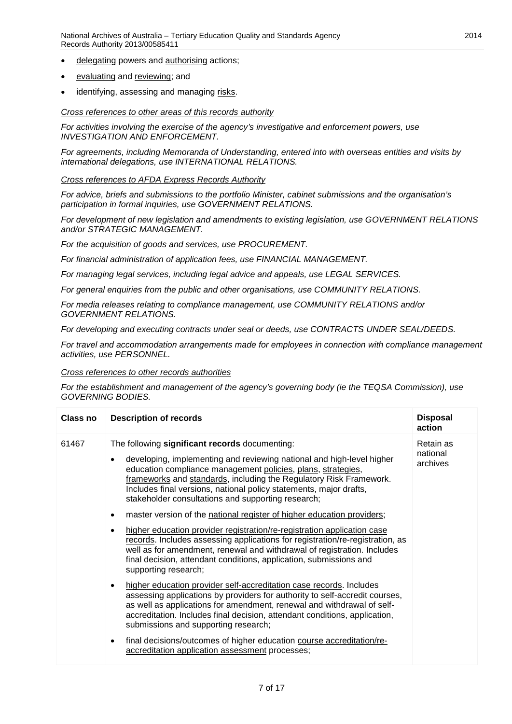- delegating powers and authorising actions;
- evaluating and reviewing; and
- identifying, assessing and managing risks.

*Cross references to other areas of this records authority*

*For activities involving the exercise of the agency's investigative and enforcement powers, use INVESTIGATION AND ENFORCEMENT.* 

*For agreements, including Memoranda of Understanding, entered into with overseas entities and visits by international delegations, use INTERNATIONAL RELATIONS.*

#### *Cross references to AFDA Express Records Authority*

*For advice, briefs and submissions to the portfolio Minister, cabinet submissions and the organisation's participation in formal inquiries, use GOVERNMENT RELATIONS.*

*For development of new legislation and amendments to existing legislation, use GOVERNMENT RELATIONS and/or STRATEGIC MANAGEMENT.*

*For the acquisition of goods and services, use PROCUREMENT.*

*For financial administration of application fees, use FINANCIAL MANAGEMENT.*

*For managing legal services, including legal advice and appeals, use LEGAL SERVICES.*

*For general enquiries from the public and other organisations, use COMMUNITY RELATIONS.*

*For media releases relating to compliance management, use COMMUNITY RELATIONS and/or GOVERNMENT RELATIONS.*

*For developing and executing contracts under seal or deeds, use CONTRACTS UNDER SEAL/DEEDS.*

*For travel and accommodation arrangements made for employees in connection with compliance management activities, use PERSONNEL.*

#### *Cross references to other records authorities*

*For the establishment and management of the agency's governing body (ie the TEQSA Commission), use GOVERNING BODIES.*

| <b>Class no</b> | <b>Description of records</b>                                                                                                                                                                                                                                                                                                                                                                                            | <b>Disposal</b><br>action         |
|-----------------|--------------------------------------------------------------------------------------------------------------------------------------------------------------------------------------------------------------------------------------------------------------------------------------------------------------------------------------------------------------------------------------------------------------------------|-----------------------------------|
| 61467           | The following significant records documenting:<br>developing, implementing and reviewing national and high-level higher<br>$\bullet$<br>education compliance management policies, plans, strategies,<br>frameworks and standards, including the Regulatory Risk Framework.<br>Includes final versions, national policy statements, major drafts,<br>stakeholder consultations and supporting research;                   | Retain as<br>national<br>archives |
|                 | master version of the national register of higher education providers;<br>higher education provider registration/re-registration application case<br>$\bullet$<br>records. Includes assessing applications for registration/re-registration, as<br>well as for amendment, renewal and withdrawal of registration. Includes<br>final decision, attendant conditions, application, submissions and<br>supporting research; |                                   |
|                 | higher education provider self-accreditation case records. Includes<br>assessing applications by providers for authority to self-accredit courses,<br>as well as applications for amendment, renewal and withdrawal of self-<br>accreditation. Includes final decision, attendant conditions, application,<br>submissions and supporting research;                                                                       |                                   |
|                 | final decisions/outcomes of higher education course accreditation/re-<br>$\bullet$<br>accreditation application assessment processes;                                                                                                                                                                                                                                                                                    |                                   |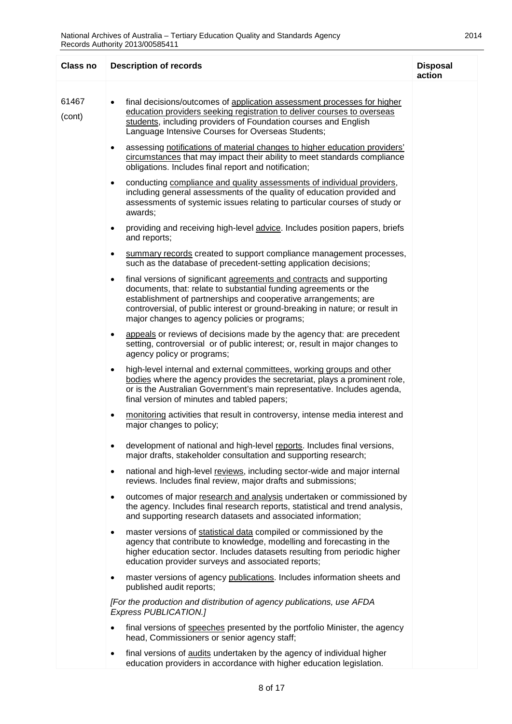| <b>Class no</b> | <b>Description of records</b>                                                                                                                                                                                                                                                                                                                              | <b>Disposal</b><br>action |
|-----------------|------------------------------------------------------------------------------------------------------------------------------------------------------------------------------------------------------------------------------------------------------------------------------------------------------------------------------------------------------------|---------------------------|
| 61467<br>(cont) | final decisions/outcomes of application assessment processes for higher<br>education providers seeking registration to deliver courses to overseas<br>students, including providers of Foundation courses and English<br>Language Intensive Courses for Overseas Students;                                                                                 |                           |
|                 | assessing notifications of material changes to higher education providers'<br>circumstances that may impact their ability to meet standards compliance<br>obligations. Includes final report and notification;                                                                                                                                             |                           |
|                 | conducting compliance and quality assessments of individual providers,<br>$\bullet$<br>including general assessments of the quality of education provided and<br>assessments of systemic issues relating to particular courses of study or<br>awards;                                                                                                      |                           |
|                 | providing and receiving high-level advice. Includes position papers, briefs<br>$\bullet$<br>and reports;                                                                                                                                                                                                                                                   |                           |
|                 | summary records created to support compliance management processes,<br>٠<br>such as the database of precedent-setting application decisions;                                                                                                                                                                                                               |                           |
|                 | final versions of significant agreements and contracts and supporting<br>$\bullet$<br>documents, that: relate to substantial funding agreements or the<br>establishment of partnerships and cooperative arrangements; are<br>controversial, of public interest or ground-breaking in nature; or result in<br>major changes to agency policies or programs; |                           |
|                 | appeals or reviews of decisions made by the agency that: are precedent<br>setting, controversial or of public interest; or, result in major changes to<br>agency policy or programs;                                                                                                                                                                       |                           |
|                 | high-level internal and external committees, working groups and other<br>$\bullet$<br>bodies where the agency provides the secretariat, plays a prominent role,<br>or is the Australian Government's main representative. Includes agenda,<br>final version of minutes and tabled papers;                                                                  |                           |
|                 | monitoring activities that result in controversy, intense media interest and<br>$\bullet$<br>major changes to policy;                                                                                                                                                                                                                                      |                           |
|                 | development of national and high-level reports. Includes final versions,<br>major drafts, stakeholder consultation and supporting research;                                                                                                                                                                                                                |                           |
|                 | national and high-level reviews, including sector-wide and major internal<br>$\bullet$<br>reviews. Includes final review, major drafts and submissions;                                                                                                                                                                                                    |                           |
|                 | outcomes of major research and analysis undertaken or commissioned by<br>$\bullet$<br>the agency. Includes final research reports, statistical and trend analysis,<br>and supporting research datasets and associated information;                                                                                                                         |                           |
|                 | master versions of statistical data compiled or commissioned by the<br>$\bullet$<br>agency that contribute to knowledge, modelling and forecasting in the<br>higher education sector. Includes datasets resulting from periodic higher<br>education provider surveys and associated reports;                                                               |                           |
|                 | master versions of agency publications. Includes information sheets and<br>$\bullet$<br>published audit reports;                                                                                                                                                                                                                                           |                           |
|                 | [For the production and distribution of agency publications, use AFDA<br>Express PUBLICATION.]                                                                                                                                                                                                                                                             |                           |
|                 | final versions of speeches presented by the portfolio Minister, the agency<br>head, Commissioners or senior agency staff;                                                                                                                                                                                                                                  |                           |
|                 | final versions of audits undertaken by the agency of individual higher<br>$\bullet$<br>education providers in accordance with higher education legislation.                                                                                                                                                                                                |                           |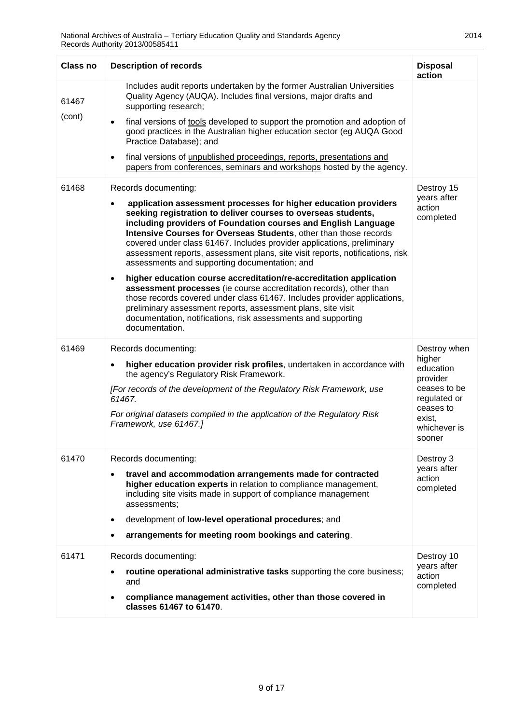| Class no        | <b>Description of records</b>                                                                                                                                                                                                                                                                                                                                                                                                                                                                                                                                                                                                                                                                                                                                                                                                                                                                                    | <b>Disposal</b><br>action                                                                                                        |
|-----------------|------------------------------------------------------------------------------------------------------------------------------------------------------------------------------------------------------------------------------------------------------------------------------------------------------------------------------------------------------------------------------------------------------------------------------------------------------------------------------------------------------------------------------------------------------------------------------------------------------------------------------------------------------------------------------------------------------------------------------------------------------------------------------------------------------------------------------------------------------------------------------------------------------------------|----------------------------------------------------------------------------------------------------------------------------------|
| 61467<br>(cont) | Includes audit reports undertaken by the former Australian Universities<br>Quality Agency (AUQA). Includes final versions, major drafts and<br>supporting research;<br>final versions of tools developed to support the promotion and adoption of<br>good practices in the Australian higher education sector (eg AUQA Good<br>Practice Database); and<br>final versions of unpublished proceedings, reports, presentations and<br>$\bullet$<br>papers from conferences, seminars and workshops hosted by the agency.                                                                                                                                                                                                                                                                                                                                                                                            |                                                                                                                                  |
| 61468           | Records documenting:<br>application assessment processes for higher education providers<br>$\bullet$<br>seeking registration to deliver courses to overseas students,<br>including providers of Foundation courses and English Language<br>Intensive Courses for Overseas Students, other than those records<br>covered under class 61467. Includes provider applications, preliminary<br>assessment reports, assessment plans, site visit reports, notifications, risk<br>assessments and supporting documentation; and<br>higher education course accreditation/re-accreditation application<br>$\bullet$<br>assessment processes (ie course accreditation records), other than<br>those records covered under class 61467. Includes provider applications,<br>preliminary assessment reports, assessment plans, site visit<br>documentation, notifications, risk assessments and supporting<br>documentation. | Destroy 15<br>years after<br>action<br>completed                                                                                 |
| 61469           | Records documenting:<br>higher education provider risk profiles, undertaken in accordance with<br>$\bullet$<br>the agency's Regulatory Risk Framework.<br>[For records of the development of the Regulatory Risk Framework, use<br>61467.<br>For original datasets compiled in the application of the Regulatory Risk<br>Framework, use 61467.]                                                                                                                                                                                                                                                                                                                                                                                                                                                                                                                                                                  | Destroy when<br>higher<br>education<br>provider<br>ceases to be<br>regulated or<br>ceases to<br>exist,<br>whichever is<br>sooner |
| 61470           | Records documenting:<br>travel and accommodation arrangements made for contracted<br>$\bullet$<br>higher education experts in relation to compliance management,<br>including site visits made in support of compliance management<br>assessments;<br>development of low-level operational procedures; and<br>$\bullet$<br>arrangements for meeting room bookings and catering.                                                                                                                                                                                                                                                                                                                                                                                                                                                                                                                                  | Destroy 3<br>years after<br>action<br>completed                                                                                  |
| 61471           | Records documenting:<br>routine operational administrative tasks supporting the core business;<br>and<br>compliance management activities, other than those covered in<br>classes 61467 to 61470.                                                                                                                                                                                                                                                                                                                                                                                                                                                                                                                                                                                                                                                                                                                | Destroy 10<br>years after<br>action<br>completed                                                                                 |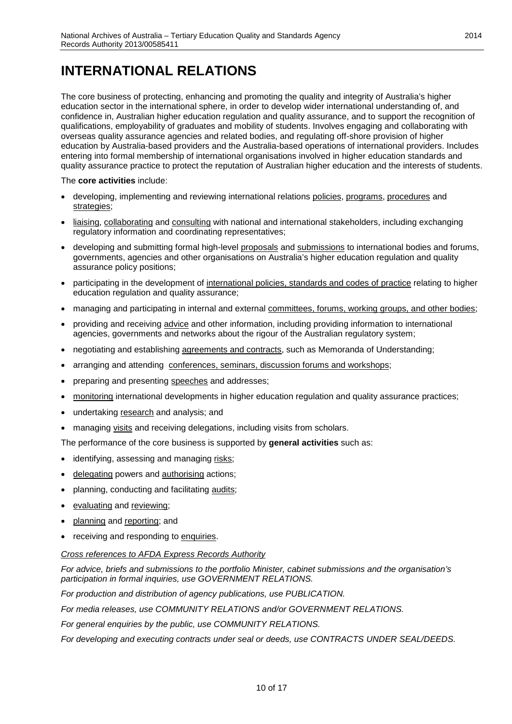## <span id="page-9-0"></span>**INTERNATIONAL RELATIONS**

The core business of protecting, enhancing and promoting the quality and integrity of Australia's higher education sector in the international sphere, in order to develop wider international understanding of, and confidence in, Australian higher education regulation and quality assurance, and to support the recognition of qualifications, employability of graduates and mobility of students. Involves engaging and collaborating with overseas quality assurance agencies and related bodies, and regulating off-shore provision of higher education by Australia-based providers and the Australia-based operations of international providers. Includes entering into formal membership of international organisations involved in higher education standards and quality assurance practice to protect the reputation of Australian higher education and the interests of students.

#### The **core activities** include:

- developing, implementing and reviewing international relations policies, programs, procedures and strategies;
- liaising, collaborating and consulting with national and international stakeholders, including exchanging regulatory information and coordinating representatives;
- developing and submitting formal high-level proposals and submissions to international bodies and forums, governments, agencies and other organisations on Australia's higher education regulation and quality assurance policy positions;
- participating in the development of international policies, standards and codes of practice relating to higher education regulation and quality assurance;
- managing and participating in internal and external committees, forums, working groups, and other bodies;
- providing and receiving advice and other information, including providing information to international agencies, governments and networks about the rigour of the Australian regulatory system;
- negotiating and establishing agreements and contracts, such as Memoranda of Understanding;
- arranging and attending conferences, seminars, discussion forums and workshops;
- preparing and presenting speeches and addresses;
- monitoring international developments in higher education regulation and quality assurance practices;
- undertaking research and analysis; and
- managing visits and receiving delegations, including visits from scholars.

The performance of the core business is supported by **general activities** such as:

- identifying, assessing and managing risks;
- delegating powers and authorising actions;
- planning, conducting and facilitating audits;
- evaluating and reviewing;
- planning and reporting; and
- receiving and responding to enquiries.

#### *Cross references to AFDA Express Records Authority*

*For advice, briefs and submissions to the portfolio Minister, cabinet submissions and the organisation's participation in formal inquiries, use GOVERNMENT RELATIONS.*

*For production and distribution of agency publications, use PUBLICATION.*

*For media releases, use COMMUNITY RELATIONS and/or GOVERNMENT RELATIONS.*

*For general enquiries by the public, use COMMUNITY RELATIONS.*

*For developing and executing contracts under seal or deeds, use CONTRACTS UNDER SEAL/DEEDS.*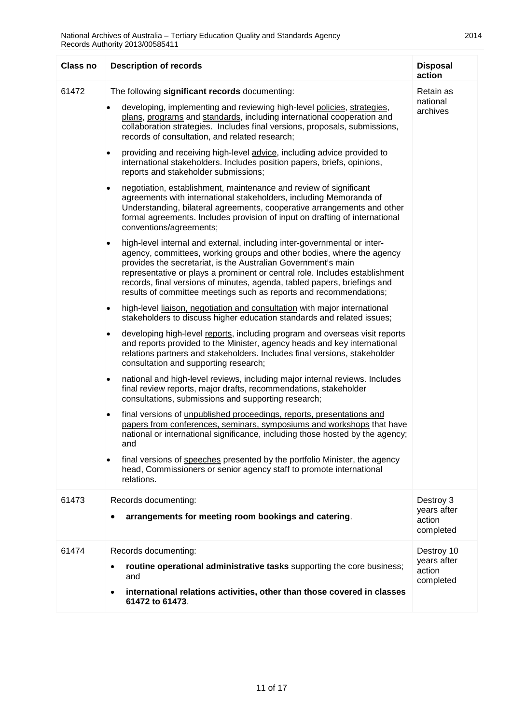| <b>Class no</b> | <b>Description of records</b>                                                                                                                                                                                                                                                                                                                                                                                                                                                                                                                                                                                                                                                                                                                                                                                                                                                                                                                                                                                                                                                                                                                                                                                                                                                                                                                                                                                                                                                                                                                                                                                                                                                                                                                                                                                                                                                                                                                                                                                                                                                                                                                                                                                                                                                                                                                                                                                                    | <b>Disposal</b><br>action                        |
|-----------------|----------------------------------------------------------------------------------------------------------------------------------------------------------------------------------------------------------------------------------------------------------------------------------------------------------------------------------------------------------------------------------------------------------------------------------------------------------------------------------------------------------------------------------------------------------------------------------------------------------------------------------------------------------------------------------------------------------------------------------------------------------------------------------------------------------------------------------------------------------------------------------------------------------------------------------------------------------------------------------------------------------------------------------------------------------------------------------------------------------------------------------------------------------------------------------------------------------------------------------------------------------------------------------------------------------------------------------------------------------------------------------------------------------------------------------------------------------------------------------------------------------------------------------------------------------------------------------------------------------------------------------------------------------------------------------------------------------------------------------------------------------------------------------------------------------------------------------------------------------------------------------------------------------------------------------------------------------------------------------------------------------------------------------------------------------------------------------------------------------------------------------------------------------------------------------------------------------------------------------------------------------------------------------------------------------------------------------------------------------------------------------------------------------------------------------|--------------------------------------------------|
| 61472           | The following significant records documenting:<br>developing, implementing and reviewing high-level policies, strategies,<br>plans, programs and standards, including international cooperation and<br>collaboration strategies. Includes final versions, proposals, submissions,<br>records of consultation, and related research;<br>providing and receiving high-level advice, including advice provided to<br>international stakeholders. Includes position papers, briefs, opinions,<br>reports and stakeholder submissions;<br>negotiation, establishment, maintenance and review of significant<br>$\bullet$<br>agreements with international stakeholders, including Memoranda of<br>Understanding, bilateral agreements, cooperative arrangements and other<br>formal agreements. Includes provision of input on drafting of international<br>conventions/agreements;<br>high-level internal and external, including inter-governmental or inter-<br>agency, committees, working groups and other bodies, where the agency<br>provides the secretariat, is the Australian Government's main<br>representative or plays a prominent or central role. Includes establishment<br>records, final versions of minutes, agenda, tabled papers, briefings and<br>results of committee meetings such as reports and recommendations;<br>high-level liaison, negotiation and consultation with major international<br>٠<br>stakeholders to discuss higher education standards and related issues;<br>developing high-level reports, including program and overseas visit reports<br>$\bullet$<br>and reports provided to the Minister, agency heads and key international<br>relations partners and stakeholders. Includes final versions, stakeholder<br>consultation and supporting research;<br>national and high-level reviews, including major internal reviews. Includes<br>٠<br>final review reports, major drafts, recommendations, stakeholder<br>consultations, submissions and supporting research;<br>final versions of unpublished proceedings, reports, presentations and<br>٠<br>papers from conferences, seminars, symposiums and workshops that have<br>national or international significance, including those hosted by the agency;<br>and<br>final versions of speeches presented by the portfolio Minister, the agency<br>head, Commissioners or senior agency staff to promote international<br>relations. | Retain as<br>national<br>archives                |
| 61473           | Records documenting:<br>arrangements for meeting room bookings and catering.                                                                                                                                                                                                                                                                                                                                                                                                                                                                                                                                                                                                                                                                                                                                                                                                                                                                                                                                                                                                                                                                                                                                                                                                                                                                                                                                                                                                                                                                                                                                                                                                                                                                                                                                                                                                                                                                                                                                                                                                                                                                                                                                                                                                                                                                                                                                                     | Destroy 3<br>years after<br>action<br>completed  |
| 61474           | Records documenting:<br>routine operational administrative tasks supporting the core business;<br>and<br>international relations activities, other than those covered in classes<br>$\bullet$<br>61472 to 61473.                                                                                                                                                                                                                                                                                                                                                                                                                                                                                                                                                                                                                                                                                                                                                                                                                                                                                                                                                                                                                                                                                                                                                                                                                                                                                                                                                                                                                                                                                                                                                                                                                                                                                                                                                                                                                                                                                                                                                                                                                                                                                                                                                                                                                 | Destroy 10<br>years after<br>action<br>completed |
|                 |                                                                                                                                                                                                                                                                                                                                                                                                                                                                                                                                                                                                                                                                                                                                                                                                                                                                                                                                                                                                                                                                                                                                                                                                                                                                                                                                                                                                                                                                                                                                                                                                                                                                                                                                                                                                                                                                                                                                                                                                                                                                                                                                                                                                                                                                                                                                                                                                                                  |                                                  |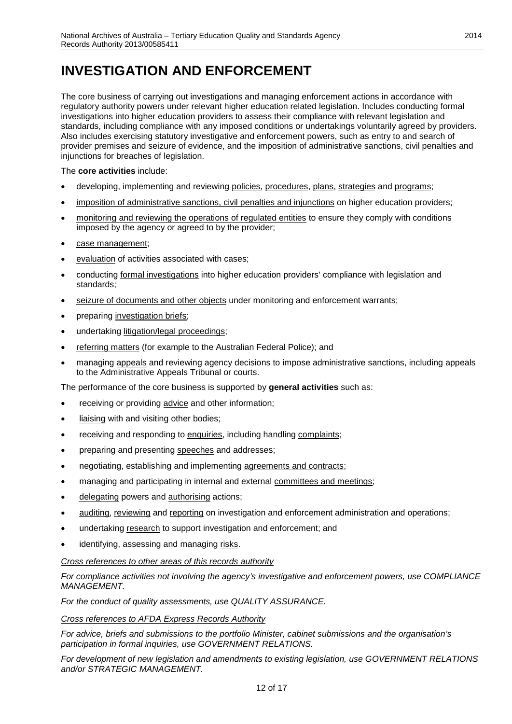# <span id="page-11-0"></span>**INVESTIGATION AND ENFORCEMENT**

The core business of carrying out investigations and managing enforcement actions in accordance with regulatory authority powers under relevant higher education related legislation. Includes conducting formal investigations into higher education providers to assess their compliance with relevant legislation and standards, including compliance with any imposed conditions or undertakings voluntarily agreed by providers. Also includes exercising statutory investigative and enforcement powers, such as entry to and search of provider premises and seizure of evidence, and the imposition of administrative sanctions, civil penalties and injunctions for breaches of legislation.

#### The **core activities** include:

- developing, implementing and reviewing policies, procedures, plans, strategies and programs;
- imposition of administrative sanctions, civil penalties and injunctions on higher education providers;
- monitoring and reviewing the operations of regulated entities to ensure they comply with conditions imposed by the agency or agreed to by the provider;
- case management;
- evaluation of activities associated with cases;
- conducting formal investigations into higher education providers' compliance with legislation and standards;
- seizure of documents and other objects under monitoring and enforcement warrants;
- preparing investigation briefs;
- undertaking litigation/legal proceedings;
- referring matters (for example to the Australian Federal Police); and
- managing appeals and reviewing agency decisions to impose administrative sanctions, including appeals to the Administrative Appeals Tribunal or courts.

The performance of the core business is supported by **general activities** such as:

- receiving or providing advice and other information;
- liaising with and visiting other bodies;
- receiving and responding to enquiries, including handling complaints;
- preparing and presenting speeches and addresses;
- negotiating, establishing and implementing agreements and contracts;
- managing and participating in internal and external committees and meetings;
- delegating powers and authorising actions;
- auditing, reviewing and reporting on investigation and enforcement administration and operations;
- undertaking research to support investigation and enforcement; and
- identifying, assessing and managing risks.

#### *Cross references to other areas of this records authority*

*For compliance activities not involving the agency's investigative and enforcement powers, use COMPLIANCE MANAGEMENT.*

*For the conduct of quality assessments, use QUALITY ASSURANCE.*

*Cross references to AFDA Express Records Authority*

*For advice, briefs and submissions to the portfolio Minister, cabinet submissions and the organisation's participation in formal inquiries, use GOVERNMENT RELATIONS.*

*For development of new legislation and amendments to existing legislation, use GOVERNMENT RELATIONS and/or STRATEGIC MANAGEMENT.*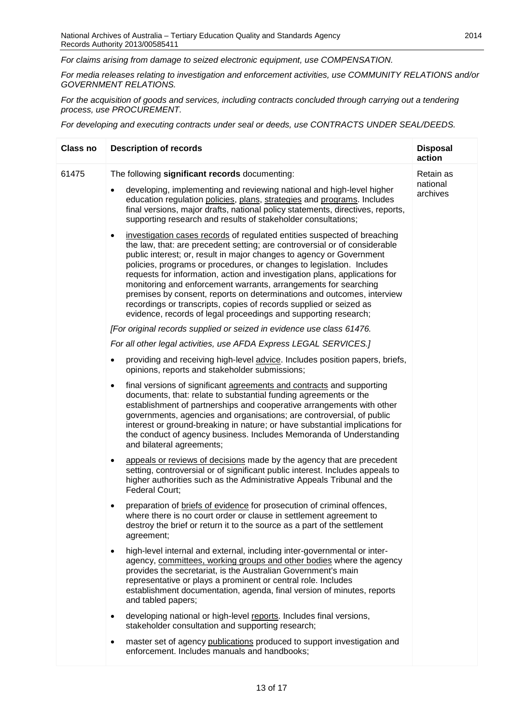*For claims arising from damage to seized electronic equipment, use COMPENSATION.*

*For media releases relating to investigation and enforcement activities, use COMMUNITY RELATIONS and/or GOVERNMENT RELATIONS.*

*For the acquisition of goods and services, including contracts concluded through carrying out a tendering process, use PROCUREMENT.*

*For developing and executing contracts under seal or deeds, use CONTRACTS UNDER SEAL/DEEDS.*

| Class no | <b>Description of records</b>                                                                                                                                                                                                                                                                                                                                                                                                                                                                                                                                                                                                                                                            | <b>Disposal</b><br>action         |
|----------|------------------------------------------------------------------------------------------------------------------------------------------------------------------------------------------------------------------------------------------------------------------------------------------------------------------------------------------------------------------------------------------------------------------------------------------------------------------------------------------------------------------------------------------------------------------------------------------------------------------------------------------------------------------------------------------|-----------------------------------|
| 61475    | The following significant records documenting:<br>developing, implementing and reviewing national and high-level higher<br>٠<br>education regulation policies, plans, strategies and programs. Includes<br>final versions, major drafts, national policy statements, directives, reports,<br>supporting research and results of stakeholder consultations;                                                                                                                                                                                                                                                                                                                               | Retain as<br>national<br>archives |
|          | investigation cases records of regulated entities suspected of breaching<br>$\bullet$<br>the law, that: are precedent setting; are controversial or of considerable<br>public interest; or, result in major changes to agency or Government<br>policies, programs or procedures, or changes to legislation. Includes<br>requests for information, action and investigation plans, applications for<br>monitoring and enforcement warrants, arrangements for searching<br>premises by consent, reports on determinations and outcomes, interview<br>recordings or transcripts, copies of records supplied or seized as<br>evidence, records of legal proceedings and supporting research; |                                   |
|          | [For original records supplied or seized in evidence use class 61476.                                                                                                                                                                                                                                                                                                                                                                                                                                                                                                                                                                                                                    |                                   |
|          | For all other legal activities, use AFDA Express LEGAL SERVICES.]                                                                                                                                                                                                                                                                                                                                                                                                                                                                                                                                                                                                                        |                                   |
|          | providing and receiving high-level advice. Includes position papers, briefs,<br>٠<br>opinions, reports and stakeholder submissions;                                                                                                                                                                                                                                                                                                                                                                                                                                                                                                                                                      |                                   |
|          | final versions of significant agreements and contracts and supporting<br>$\bullet$<br>documents, that: relate to substantial funding agreements or the<br>establishment of partnerships and cooperative arrangements with other<br>governments, agencies and organisations; are controversial, of public<br>interest or ground-breaking in nature; or have substantial implications for<br>the conduct of agency business. Includes Memoranda of Understanding<br>and bilateral agreements;                                                                                                                                                                                              |                                   |
|          | appeals or reviews of decisions made by the agency that are precedent<br>$\bullet$<br>setting, controversial or of significant public interest. Includes appeals to<br>higher authorities such as the Administrative Appeals Tribunal and the<br>Federal Court;                                                                                                                                                                                                                                                                                                                                                                                                                          |                                   |
|          | preparation of briefs of evidence for prosecution of criminal offences,<br>where there is no court order or clause in settlement agreement to<br>destroy the brief or return it to the source as a part of the settlement<br>agreement;                                                                                                                                                                                                                                                                                                                                                                                                                                                  |                                   |
|          | high-level internal and external, including inter-governmental or inter-<br>$\bullet$<br>agency, committees, working groups and other bodies where the agency<br>provides the secretariat, is the Australian Government's main<br>representative or plays a prominent or central role. Includes<br>establishment documentation, agenda, final version of minutes, reports<br>and tabled papers;                                                                                                                                                                                                                                                                                          |                                   |
|          | developing national or high-level reports. Includes final versions,<br>$\bullet$<br>stakeholder consultation and supporting research;                                                                                                                                                                                                                                                                                                                                                                                                                                                                                                                                                    |                                   |
|          | master set of agency publications produced to support investigation and<br>٠<br>enforcement. Includes manuals and handbooks;                                                                                                                                                                                                                                                                                                                                                                                                                                                                                                                                                             |                                   |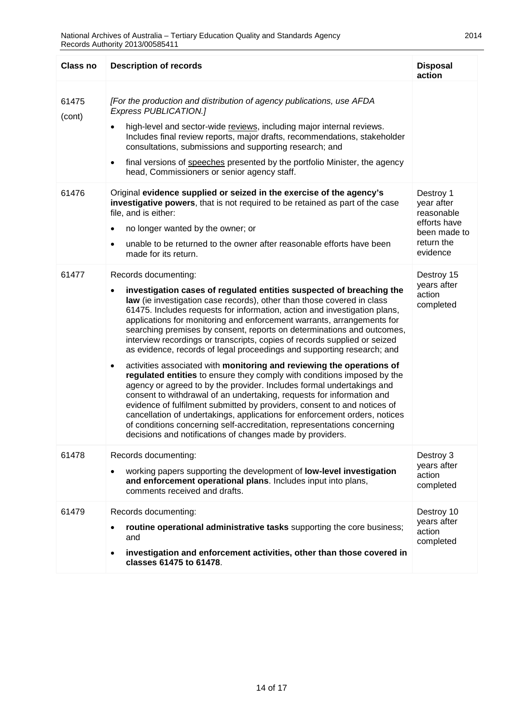| Class no        | <b>Description of records</b>                                                                                                                                                                                                                                                                                                                                                                                                                                                                                                                                                                                                                                                                                                                                                                                                                                                                                                                                                                                                                                                                                                                                                                    | <b>Disposal</b><br>action                                                                       |
|-----------------|--------------------------------------------------------------------------------------------------------------------------------------------------------------------------------------------------------------------------------------------------------------------------------------------------------------------------------------------------------------------------------------------------------------------------------------------------------------------------------------------------------------------------------------------------------------------------------------------------------------------------------------------------------------------------------------------------------------------------------------------------------------------------------------------------------------------------------------------------------------------------------------------------------------------------------------------------------------------------------------------------------------------------------------------------------------------------------------------------------------------------------------------------------------------------------------------------|-------------------------------------------------------------------------------------------------|
| 61475<br>(cont) | [For the production and distribution of agency publications, use AFDA<br>Express PUBLICATION.]<br>high-level and sector-wide reviews, including major internal reviews.<br>Includes final review reports, major drafts, recommendations, stakeholder<br>consultations, submissions and supporting research; and<br>final versions of speeches presented by the portfolio Minister, the agency<br>$\bullet$<br>head, Commissioners or senior agency staff.                                                                                                                                                                                                                                                                                                                                                                                                                                                                                                                                                                                                                                                                                                                                        |                                                                                                 |
| 61476           | Original evidence supplied or seized in the exercise of the agency's<br>investigative powers, that is not required to be retained as part of the case<br>file, and is either:<br>no longer wanted by the owner; or<br>$\bullet$<br>unable to be returned to the owner after reasonable efforts have been<br>$\bullet$<br>made for its return.                                                                                                                                                                                                                                                                                                                                                                                                                                                                                                                                                                                                                                                                                                                                                                                                                                                    | Destroy 1<br>year after<br>reasonable<br>efforts have<br>been made to<br>return the<br>evidence |
| 61477           | Records documenting:<br>investigation cases of regulated entities suspected of breaching the<br>$\bullet$<br>law (ie investigation case records), other than those covered in class<br>61475. Includes requests for information, action and investigation plans,<br>applications for monitoring and enforcement warrants, arrangements for<br>searching premises by consent, reports on determinations and outcomes,<br>interview recordings or transcripts, copies of records supplied or seized<br>as evidence, records of legal proceedings and supporting research; and<br>activities associated with monitoring and reviewing the operations of<br>$\bullet$<br>regulated entities to ensure they comply with conditions imposed by the<br>agency or agreed to by the provider. Includes formal undertakings and<br>consent to withdrawal of an undertaking, requests for information and<br>evidence of fulfilment submitted by providers, consent to and notices of<br>cancellation of undertakings, applications for enforcement orders, notices<br>of conditions concerning self-accreditation, representations concerning<br>decisions and notifications of changes made by providers. | Destroy 15<br>years after<br>action<br>completed                                                |
| 61478           | Records documenting:<br>working papers supporting the development of low-level investigation<br>and enforcement operational plans. Includes input into plans,<br>comments received and drafts.                                                                                                                                                                                                                                                                                                                                                                                                                                                                                                                                                                                                                                                                                                                                                                                                                                                                                                                                                                                                   | Destroy 3<br>years after<br>action<br>completed                                                 |
| 61479           | Records documenting:<br>routine operational administrative tasks supporting the core business;<br>and<br>investigation and enforcement activities, other than those covered in<br>classes 61475 to 61478.                                                                                                                                                                                                                                                                                                                                                                                                                                                                                                                                                                                                                                                                                                                                                                                                                                                                                                                                                                                        | Destroy 10<br>years after<br>action<br>completed                                                |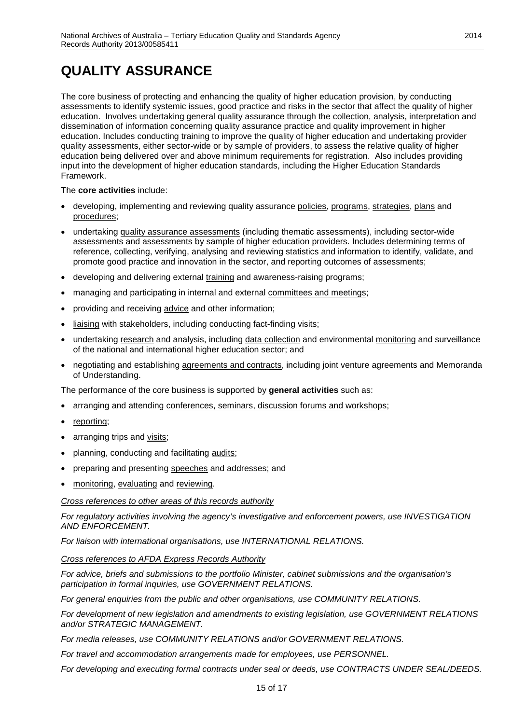# <span id="page-14-0"></span>**QUALITY ASSURANCE**

The core business of protecting and enhancing the quality of higher education provision, by conducting assessments to identify systemic issues, good practice and risks in the sector that affect the quality of higher education. Involves undertaking general quality assurance through the collection, analysis, interpretation and dissemination of information concerning quality assurance practice and quality improvement in higher education. Includes conducting training to improve the quality of higher education and undertaking provider quality assessments, either sector-wide or by sample of providers, to assess the relative quality of higher education being delivered over and above minimum requirements for registration. Also includes providing input into the development of higher education standards, including the Higher Education Standards Framework.

The **core activities** include:

- developing, implementing and reviewing quality assurance policies, programs, strategies, plans and procedures;
- undertaking quality assurance assessments (including thematic assessments), including sector-wide assessments and assessments by sample of higher education providers. Includes determining terms of reference, collecting, verifying, analysing and reviewing statistics and information to identify, validate, and promote good practice and innovation in the sector, and reporting outcomes of assessments;
- developing and delivering external training and awareness-raising programs;
- managing and participating in internal and external committees and meetings;
- providing and receiving advice and other information;
- liaising with stakeholders, including conducting fact-finding visits;
- undertaking research and analysis, including data collection and environmental monitoring and surveillance of the national and international higher education sector; and
- negotiating and establishing agreements and contracts, including joint venture agreements and Memoranda of Understanding.

The performance of the core business is supported by **general activities** such as:

- arranging and attending conferences, seminars, discussion forums and workshops;
- reporting;
- arranging trips and visits;
- planning, conducting and facilitating audits;
- preparing and presenting speeches and addresses; and
- monitoring, evaluating and reviewing.

*Cross references to other areas of this records authority*

*For regulatory activities involving the agency's investigative and enforcement powers, use INVESTIGATION AND ENFORCEMENT.*

*For liaison with international organisations, use INTERNATIONAL RELATIONS.*

#### *Cross references to AFDA Express Records Authority*

*For advice, briefs and submissions to the portfolio Minister, cabinet submissions and the organisation's participation in formal inquiries, use GOVERNMENT RELATIONS.*

*For general enquiries from the public and other organisations, use COMMUNITY RELATIONS.*

*For development of new legislation and amendments to existing legislation, use GOVERNMENT RELATIONS and/or STRATEGIC MANAGEMENT.*

*For media releases, use COMMUNITY RELATIONS and/or GOVERNMENT RELATIONS.*

*For travel and accommodation arrangements made for employees, use PERSONNEL.*

*For developing and executing formal contracts under seal or deeds, use CONTRACTS UNDER SEAL/DEEDS.*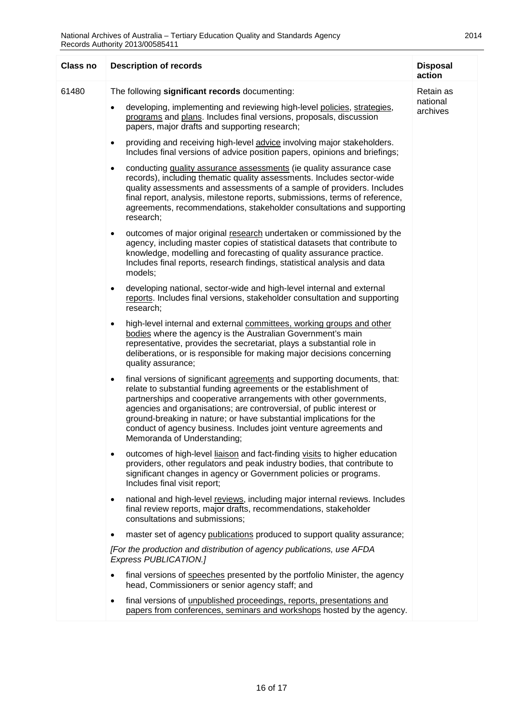| Retain as<br>national<br>archives                                                                                                                                                                                                                                                                                                                                                        |
|------------------------------------------------------------------------------------------------------------------------------------------------------------------------------------------------------------------------------------------------------------------------------------------------------------------------------------------------------------------------------------------|
|                                                                                                                                                                                                                                                                                                                                                                                          |
|                                                                                                                                                                                                                                                                                                                                                                                          |
|                                                                                                                                                                                                                                                                                                                                                                                          |
| agreements, recommendations, stakeholder consultations and supporting                                                                                                                                                                                                                                                                                                                    |
|                                                                                                                                                                                                                                                                                                                                                                                          |
|                                                                                                                                                                                                                                                                                                                                                                                          |
|                                                                                                                                                                                                                                                                                                                                                                                          |
|                                                                                                                                                                                                                                                                                                                                                                                          |
|                                                                                                                                                                                                                                                                                                                                                                                          |
| national and high-level reviews, including major internal reviews. Includes                                                                                                                                                                                                                                                                                                              |
|                                                                                                                                                                                                                                                                                                                                                                                          |
|                                                                                                                                                                                                                                                                                                                                                                                          |
|                                                                                                                                                                                                                                                                                                                                                                                          |
| papers from conferences, seminars and workshops hosted by the agency.                                                                                                                                                                                                                                                                                                                    |
| quality assessments and assessments of a sample of providers. Includes<br>final report, analysis, milestone reports, submissions, terms of reference,<br>outcomes of major original research undertaken or commissioned by the<br>master set of agency publications produced to support quality assurance;<br>final versions of speeches presented by the portfolio Minister, the agency |